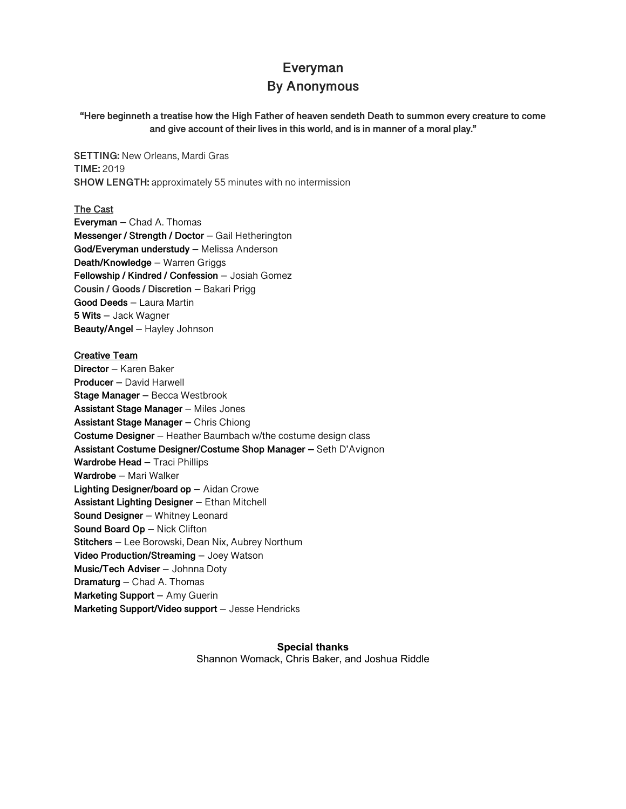# **Everyman**

## **By Anonymous**

**"Here beginneth a treatise how the High Father of heaven sendeth Death to summon every creature to come and give account of their lives in this world, and is in manner of a moral play."**

**SETTING:** New Orleans, Mardi Gras **TIME:** 2019 **SHOW LENGTH:** approximately 55 minutes with no intermission

**The Cast Everyman** – Chad A. Thomas **Messenger / Strength / Doctor** – Gail Hetherington **God/Everyman understudy** – Melissa Anderson **Death/Knowledge** – Warren Griggs **Fellowship / Kindred / Confession** – Josiah Gomez **Cousin / Goods / Discretion** – Bakari Prigg **Good Deeds** – Laura Martin **5 Wits** – Jack Wagner **Beauty/Angel** – Hayley Johnson

**Creative Team Director** – Karen Baker **Producer** – David Harwell **Stage Manager** – Becca Westbrook **Assistant Stage Manager** – Miles Jones **Assistant Stage Manager** – Chris Chiong **Costume Designer** – Heather Baumbach w/the costume design class **Assistant Costume Designer/Costume Shop Manager –** Seth D'Avignon **Wardrobe Head** – Traci Phillips **Wardrobe** – Mari Walker **Lighting Designer/board op** – Aidan Crowe **Assistant Lighting Designer** – Ethan Mitchell **Sound Designer** – Whitney Leonard **Sound Board Op** – Nick Clifton **Stitchers** – Lee Borowski, Dean Nix, Aubrey Northum **Video Production/Streaming** – Joey Watson **Music/Tech Adviser** – Johnna Doty **Dramaturg** – Chad A. Thomas **Marketing Support** – Amy Guerin **Marketing Support/Video support** – Jesse Hendricks

> **Special thanks** Shannon Womack, Chris Baker, and Joshua Riddle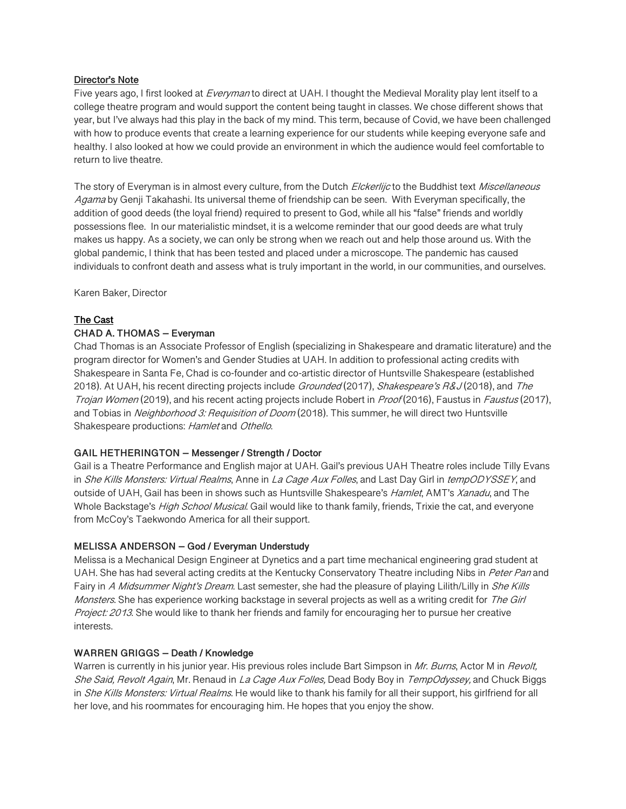#### **Director's Note**

Five years ago, I first looked at *Everyman* to direct at UAH. I thought the Medieval Morality play lent itself to a college theatre program and would support the content being taught in classes. We chose different shows that year, but I've always had this play in the back of my mind. This term, because of Covid, we have been challenged with how to produce events that create a learning experience for our students while keeping everyone safe and healthy. I also looked at how we could provide an environment in which the audience would feel comfortable to return to live theatre.

The story of Everyman is in almost every culture, from the Dutch Elckerlijc to the Buddhist text Miscellaneous Agama by Genji Takahashi. Its universal theme of friendship can be seen. With Everyman specifically, the addition of good deeds (the loyal friend) required to present to God, while all his "false" friends and worldly possessions flee. In our materialistic mindset, it is a welcome reminder that our good deeds are what truly makes us happy. As a society, we can only be strong when we reach out and help those around us. With the global pandemic, I think that has been tested and placed under a microscope. The pandemic has caused individuals to confront death and assess what is truly important in the world, in our communities, and ourselves.

Karen Baker, Director

## **The Cast**

## **CHAD A. THOMAS – Everyman**

Chad Thomas is an Associate Professor of English (specializing in Shakespeare and dramatic literature) and the program director for Women's and Gender Studies at UAH. In addition to professional acting credits with Shakespeare in Santa Fe, Chad is co-founder and co-artistic director of Huntsville Shakespeare (established 2018). At UAH, his recent directing projects include *Grounded* (2017), *Shakespeare's R&J* (2018), and *The* Trojan Women (2019), and his recent acting projects include Robert in Proof (2016), Faustus in Faustus (2017), and Tobias in Neighborhood 3: Requisition of Doom (2018). This summer, he will direct two Huntsville Shakespeare productions: Hamlet and Othello.

#### **GAIL HETHERINGTON – Messenger / Strength / Doctor**

Gail is a Theatre Performance and English major at UAH. Gail's previous UAH Theatre roles include Tilly Evans in She Kills Monsters: Virtual Realms, Anne in La Cage Aux Folles, and Last Day Girl in tempODYSSEY, and outside of UAH, Gail has been in shows such as Huntsville Shakespeare's Hamlet, AMT's Xanadu, and The Whole Backstage's High School Musical. Gail would like to thank family, friends, Trixie the cat, and everyone from McCoy's Taekwondo America for all their support.

## **MELISSA ANDERSON – God / Everyman Understudy**

Melissa is a Mechanical Design Engineer at Dynetics and a part time mechanical engineering grad student at UAH. She has had several acting credits at the Kentucky Conservatory Theatre including Nibs in Peter Pan and Fairy in A Midsummer Night's Dream. Last semester, she had the pleasure of playing Lilith/Lilly in She Kills Monsters. She has experience working backstage in several projects as well as a writing credit for The Girl Project: 2013. She would like to thank her friends and family for encouraging her to pursue her creative interests.

#### **WARREN GRIGGS – Death / Knowledge**

Warren is currently in his junior year. His previous roles include Bart Simpson in Mr. Burns, Actor M in Revolt, She Said, Revolt Again, Mr. Renaud in La Cage Aux Folles, Dead Body Boy in TempOdyssey, and Chuck Biggs in *She Kills Monsters: Virtual Realms*. He would like to thank his family for all their support, his girlfriend for all her love, and his roommates for encouraging him. He hopes that you enjoy the show.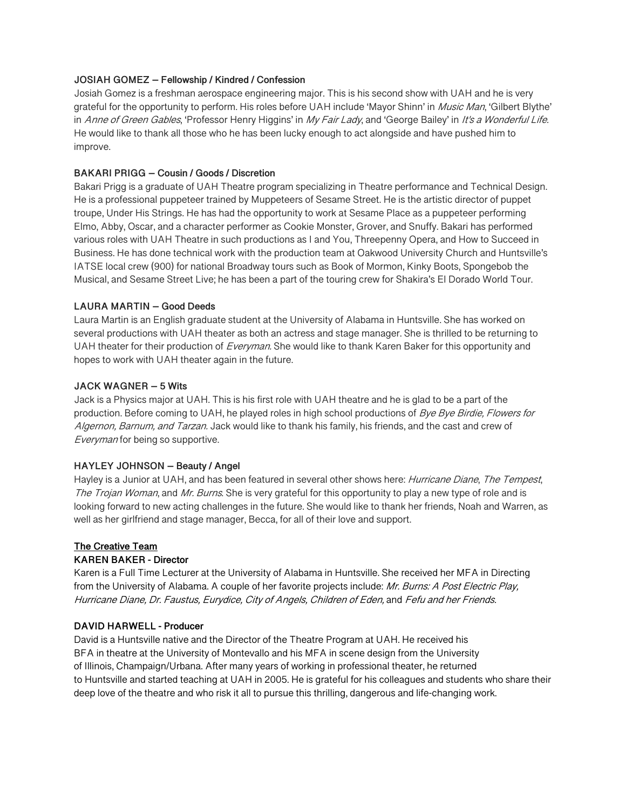#### **JOSIAH GOMEZ – Fellowship / Kindred / Confession**

Josiah Gomez is a freshman aerospace engineering major. This is his second show with UAH and he is very grateful for the opportunity to perform. His roles before UAH include 'Mayor Shinn' in Music Man, 'Gilbert Blythe' in Anne of Green Gables, 'Professor Henry Higgins' in My Fair Lady, and 'George Bailey' in It's a Wonderful Life. He would like to thank all those who he has been lucky enough to act alongside and have pushed him to improve.

#### **BAKARI PRIGG – Cousin / Goods / Discretion**

Bakari Prigg is a graduate of UAH Theatre program specializing in Theatre performance and Technical Design. He is a professional puppeteer trained by Muppeteers of Sesame Street. He is the artistic director of puppet troupe, Under His Strings. He has had the opportunity to work at Sesame Place as a puppeteer performing Elmo, Abby, Oscar, and a character performer as Cookie Monster, Grover, and Snuffy. Bakari has performed various roles with UAH Theatre in such productions as I and You, Threepenny Opera, and How to Succeed in Business. He has done technical work with the production team at Oakwood University Church and Huntsville's IATSE local crew (900) for national Broadway tours such as Book of Mormon, Kinky Boots, Spongebob the Musical, and Sesame Street Live; he has been a part of the touring crew for Shakira's El Dorado World Tour.

#### **LAURA MARTIN – Good Deeds**

Laura Martin is an English graduate student at the University of Alabama in Huntsville. She has worked on several productions with UAH theater as both an actress and stage manager. She is thrilled to be returning to UAH theater for their production of Everyman. She would like to thank Karen Baker for this opportunity and hopes to work with UAH theater again in the future.

#### **JACK WAGNER – 5 Wits**

Jack is a Physics major at UAH. This is his first role with UAH theatre and he is glad to be a part of the production. Before coming to UAH, he played roles in high school productions of Bye Bye Birdie, Flowers for Algernon, Barnum, and Tarzan. Jack would like to thank his family, his friends, and the cast and crew of Everyman for being so supportive.

## **HAYLEY JOHNSON – Beauty / Angel**

Hayley is a Junior at UAH, and has been featured in several other shows here: *Hurricane Diane, The Tempest*, The Trojan Woman, and Mr. Burns. She is very grateful for this opportunity to play a new type of role and is looking forward to new acting challenges in the future. She would like to thank her friends, Noah and Warren, as well as her girlfriend and stage manager, Becca, for all of their love and support.

#### **The Creative Team**

## **KAREN BAKER - Director**

Karen is a Full Time Lecturer at the University of Alabama in Huntsville. She received her MFA in Directing from the University of Alabama. A couple of her favorite projects include: Mr. Burns: A Post Electric Play, Hurricane Diane, Dr. Faustus, Eurydice, City of Angels, Children of Eden, and Fefu and her Friends.

## **DAVID HARWELL - Producer**

David is a Huntsville native and the Director of the Theatre Program at UAH. He received his BFA in theatre at the University of Montevallo and his MFA in scene design from the University of Illinois, Champaign/Urbana. After many years of working in professional theater, he returned to Huntsville and started teaching at UAH in 2005. He is grateful for his colleagues and students who share their deep love of the theatre and who risk it all to pursue this thrilling, dangerous and life-changing work.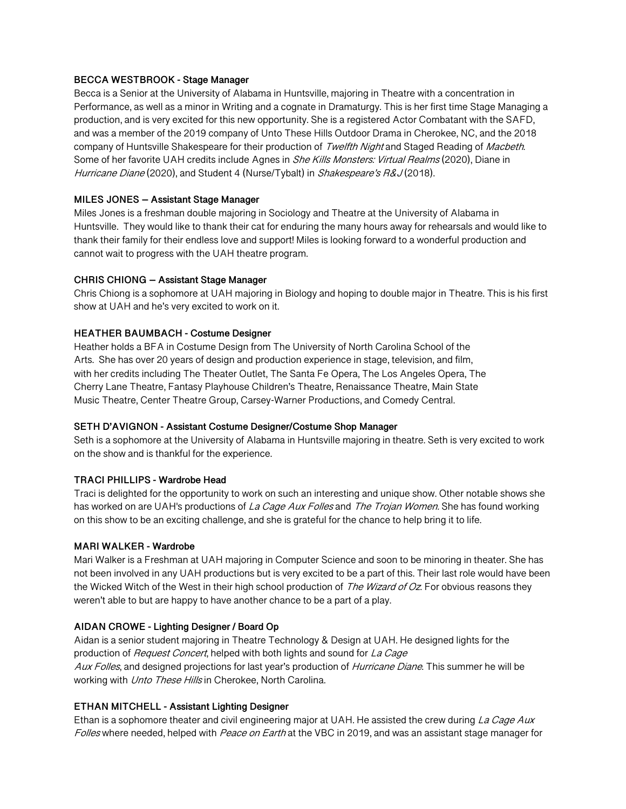#### **BECCA WESTBROOK - Stage Manager**

Becca is a Senior at the University of Alabama in Huntsville, majoring in Theatre with a concentration in Performance, as well as a minor in Writing and a cognate in Dramaturgy. This is her first time Stage Managing a production, and is very excited for this new opportunity. She is a registered Actor Combatant with the SAFD, and was a member of the 2019 company of Unto These Hills Outdoor Drama in Cherokee, NC, and the 2018 company of Huntsville Shakespeare for their production of Twelfth Night and Staged Reading of Macbeth. Some of her favorite UAH credits include Agnes in She Kills Monsters: Virtual Realms (2020), Diane in Hurricane Diane (2020), and Student 4 (Nurse/Tybalt) in *Shakespeare's R&J* (2018).

#### **MILES JONES – Assistant Stage Manager**

Miles Jones is a freshman double majoring in Sociology and Theatre at the University of Alabama in Huntsville. They would like to thank their cat for enduring the many hours away for rehearsals and would like to thank their family for their endless love and support! Miles is looking forward to a wonderful production and cannot wait to progress with the UAH theatre program.

#### **CHRIS CHIONG – Assistant Stage Manager**

Chris Chiong is a sophomore at UAH majoring in Biology and hoping to double major in Theatre. This is his first show at UAH and he's very excited to work on it.

#### **HEATHER BAUMBACH - Costume Designer**

Heather holds a BFA in Costume Design from The University of North Carolina School of the Arts. She has over 20 years of design and production experience in stage, television, and film, with her credits including The Theater Outlet, The Santa Fe Opera, The Los Angeles Opera, The Cherry Lane Theatre, Fantasy Playhouse Children's Theatre, Renaissance Theatre, Main State Music Theatre, Center Theatre Group, Carsey-Warner Productions, and Comedy Central.

## **SETH D'AVIGNON - Assistant Costume Designer/Costume Shop Manager**

Seth is a sophomore at the University of Alabama in Huntsville majoring in theatre. Seth is very excited to work on the show and is thankful for the experience.

## **TRACI PHILLIPS - Wardrobe Head**

Traci is delighted for the opportunity to work on such an interesting and unique show. Other notable shows she has worked on are UAH's productions of La Cage Aux Folles and The Trojan Women. She has found working on this show to be an exciting challenge, and she is grateful for the chance to help bring it to life.

#### **MARI WALKER - Wardrobe**

Mari Walker is a Freshman at UAH majoring in Computer Science and soon to be minoring in theater. She has not been involved in any UAH productions but is very excited to be a part of this. Their last role would have been the Wicked Witch of the West in their high school production of The Wizard of Oz. For obvious reasons they weren't able to but are happy to have another chance to be a part of a play.

## **AIDAN CROWE - Lighting Designer / Board Op**

Aidan is a senior student majoring in Theatre Technology & Design at UAH. He designed lights for the production of *Request Concert*, helped with both lights and sound for La Cage Aux Folles, and designed projections for last year's production of Hurricane Diane. This summer he will be working with Unto These Hills in Cherokee, North Carolina.

## **ETHAN MITCHELL - Assistant Lighting Designer**

Ethan is a sophomore theater and civil engineering major at UAH. He assisted the crew during La Cage Aux Folles where needed, helped with Peace on Earth at the VBC in 2019, and was an assistant stage manager for